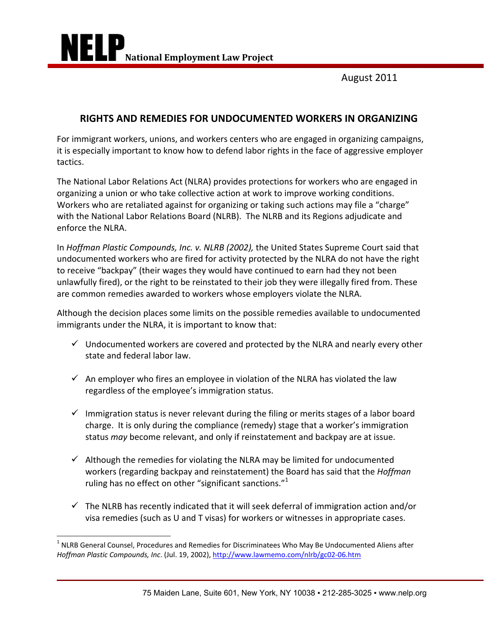August 2011

# **RIGHTS AND REMEDIES FOR UNDOCUMENTED WORKERS IN ORGANIZING**

For immigrant workers, unions, and workers centers who are engaged in organizing campaigns, it is especially important to know how to defend labor rights in the face of aggressive employer tactics.

The National Labor Relations Act (NLRA) provides protections for workers who are engaged in organizing a union or who take collective action at work to improve working conditions. Workers who are retaliated against for organizing or taking such actions may file a "charge" with the National Labor Relations Board (NLRB). The NLRB and its Regions adjudicate and enforce the NLRA.

In *Hoffman Plastic Compounds, Inc. v. NLRB (2002),* the United States Supreme Court said that undocumented workers who are fired for activity protected by the NLRA do not have the right to receive "backpay" (their wages they would have continued to earn had they not been unlawfully fired), or the right to be reinstated to their job they were illegally fired from. These are common remedies awarded to workers whose employers violate the NLRA.

Although the decision places some limits on the possible remedies available to undocumented immigrants under the NLRA, it is important to know that:

- $\checkmark$  Undocumented workers are covered and protected by the NLRA and nearly every other state and federal labor law.
- $\checkmark$  An employer who fires an employee in violation of the NLRA has violated the law regardless of the employee's immigration status.
- $\checkmark$  Immigration status is never relevant during the filing or merits stages of a labor board charge. It is only during the compliance (remedy) stage that a worker's immigration status *may* become relevant, and only if reinstatement and backpay are at issue.
- $\checkmark$  Although the remedies for violating the NLRA may be limited for undocumented workers (regarding backpay and reinstatement) the Board has said that the *Hoffman* ruling has no effect on other "significant sanctions." $1$
- $\checkmark$  The NLRB has recently indicated that it will seek deferral of immigration action and/or visa remedies (such as U and T visas) for workers or witnesses in appropriate cases.

 1 NLRB General Counsel, Procedures and Remedies for Discriminatees Who May Be Undocumented Aliens after *Hoffman Plastic Compounds, Inc*. (Jul. 19, 2002), http://www.lawmemo.com/nlrb/gc02‐06.htm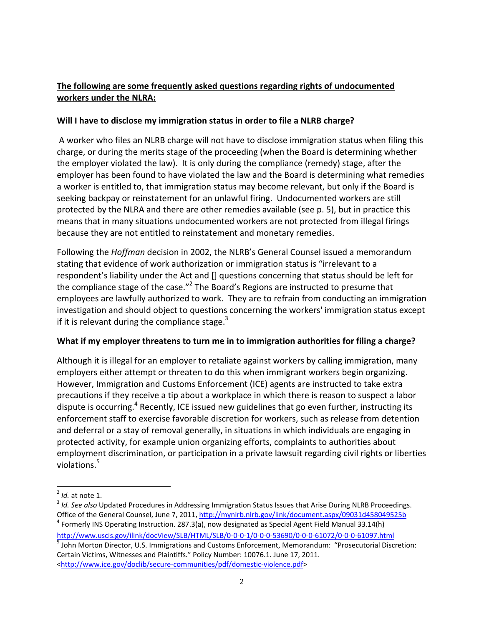## **The following are some frequently asked questions regarding rights of undocumented workers under the NLRA:**

#### **Will I have to disclose my immigration status in order to file a NLRB charge?**

A worker who files an NLRB charge will not have to disclose immigration status when filing this charge, or during the merits stage of the proceeding (when the Board is determining whether the employer violated the law). It is only during the compliance (remedy) stage, after the employer has been found to have violated the law and the Board is determining what remedies a worker is entitled to, that immigration status may become relevant, but only if the Board is seeking backpay or reinstatement for an unlawful firing. Undocumented workers are still protected by the NLRA and there are other remedies available (see p. 5), but in practice this means that in many situations undocumented workers are not protected from illegal firings because they are not entitled to reinstatement and monetary remedies.

Following the *Hoffman* decision in 2002, the NLRB's General Counsel issued a memorandum stating that evidence of work authorization or immigration status is "irrelevant to a respondent's liability under the Act and [] questions concerning that status should be left for the compliance stage of the case."<sup>2</sup> The Board's Regions are instructed to presume that employees are lawfully authorized to work. They are to refrain from conducting an immigration investigation and should object to questions concerning the workers' immigration status except if it is relevant during the compliance stage.<sup>3</sup>

### **What if my employer threatens to turn me in to immigration authorities for filing a charge?**

Although it is illegal for an employer to retaliate against workers by calling immigration, many employers either attempt or threaten to do this when immigrant workers begin organizing. However, Immigration and Customs Enforcement (ICE) agents are instructed to take extra precautions if they receive a tip about a workplace in which there is reason to suspect a labor dispute is occurring.<sup>4</sup> Recently, ICE issued new guidelines that go even further, instructing its enforcement staff to exercise favorable discretion for workers, such as release from detention and deferral or a stay of removal generally, in situations in which individuals are engaging in protected activity, for example union organizing efforts, complaints to authorities about employment discrimination, or participation in a private lawsuit regarding civil rights or liberties violations.<sup>5</sup>

 2 *Id.* at note 1.

<sup>3</sup> *Id. See also* Updated Procedures in Addressing Immigration Status Issues that Arise During NLRB Proceedings. Office of the General Counsel, June 7, 2011, http://mynlrb.nlrb.gov/link/document.aspx/09031d458049525b

<sup>&</sup>lt;sup>4</sup> Formerly INS Operating Instruction. 287.3(a), now designated as Special Agent Field Manual 33.14(h) http://www.uscis.gov/ilink/docView/SLB/HTML/SLB/0‐0‐0‐1/0‐0‐0‐53690/0‐0‐0‐61072/0‐0‐0‐61097.html <sup>5</sup> John Morton Director, U.S. Immigrations and Customs Enforcement, Memorandum: "Prosecutorial Discretion: Certain Victims, Witnesses and Plaintiffs." Policy Number: 10076.1. June 17, 2011.

<sup>&</sup>lt;http://www.ice.gov/doclib/secure‐communities/pdf/domestic‐violence.pdf>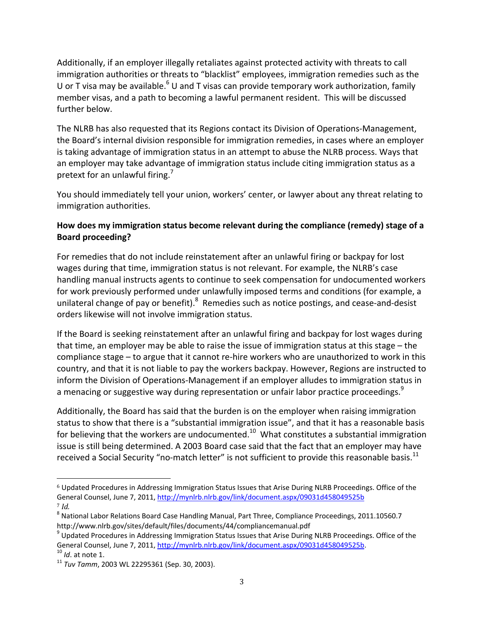Additionally, if an employer illegally retaliates against protected activity with threats to call immigration authorities or threats to "blacklist" employees, immigration remedies such as the U or T visa may be available.<sup>6</sup> U and T visas can provide temporary work authorization, family member visas, and a path to becoming a lawful permanent resident. This will be discussed further below.

The NLRB has also requested that its Regions contact its Division of Operations‐Management, the Board's internal division responsible for immigration remedies, in cases where an employer is taking advantage of immigration status in an attempt to abuse the NLRB process. Ways that an employer may take advantage of immigration status include citing immigration status as a pretext for an unlawful firing.<sup>7</sup>

You should immediately tell your union, workers' center, or lawyer about any threat relating to immigration authorities.

### **How does my immigration status become relevant during the compliance (remedy) stage of a Board proceeding?**

For remedies that do not include reinstatement after an unlawful firing or backpay for lost wages during that time, immigration status is not relevant. For example, the NLRB's case handling manual instructs agents to continue to seek compensation for undocumented workers for work previously performed under unlawfully imposed terms and conditions (for example, a unilateral change of pay or benefit).<sup>8</sup> Remedies such as notice postings, and cease-and-desist orders likewise will not involve immigration status.

If the Board is seeking reinstatement after an unlawful firing and backpay for lost wages during that time, an employer may be able to raise the issue of immigration status at this stage – the compliance stage – to argue that it cannot re-hire workers who are unauthorized to work in this country, and that it is not liable to pay the workers backpay. However, Regions are instructed to inform the Division of Operations‐Management if an employer alludes to immigration status in a menacing or suggestive way during representation or unfair labor practice proceedings.<sup>9</sup>

Additionally, the Board has said that the burden is on the employer when raising immigration status to show that there is a "substantial immigration issue", and that it has a reasonable basis for believing that the workers are undocumented.<sup>10</sup> What constitutes a substantial immigration issue is still being determined. A 2003 Board case said that the fact that an employer may have received a Social Security "no-match letter" is not sufficient to provide this reasonable basis. $^{11}$ 

i<br>I  $6$  Updated Procedures in Addressing Immigration Status Issues that Arise During NLRB Proceedings. Office of the General Counsel, June 7, 2011, http://mynlrb.nlrb.gov/link/document.aspx/09031d458049525b <sup>7</sup> *Id.*

<sup>&</sup>lt;sup>8</sup> National Labor Relations Board Case Handling Manual, Part Three, Compliance Proceedings, 2011.10560.7 http://www.nlrb.gov/sites/default/files/documents/44/compliancemanual.pdf

<sup>&</sup>lt;sup>9</sup> Updated Procedures in Addressing Immigration Status Issues that Arise During NLRB Proceedings. Office of the General Counsel, June 7, 2011, http://mynlrb.nlrb.gov/link/document.aspx/09031d458049525b.

<sup>10</sup> *Id*. at note 1.

<sup>11</sup> *Tuv Tamm*, 2003 WL 22295361 (Sep. 30, 2003).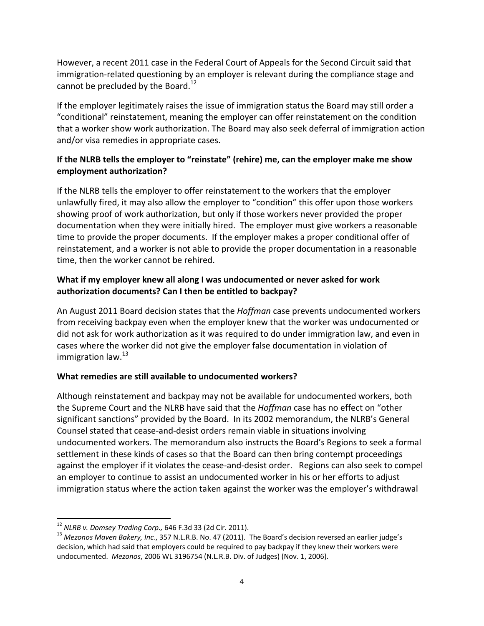However, a recent 2011 case in the Federal Court of Appeals for the Second Circuit said that immigration-related questioning by an employer is relevant during the compliance stage and cannot be precluded by the Board. $^{12}$ 

If the employer legitimately raises the issue of immigration status the Board may still order a "conditional" reinstatement, meaning the employer can offer reinstatement on the condition that a worker show work authorization. The Board may also seek deferral of immigration action and/or visa remedies in appropriate cases.

### **If the NLRB tells the employer to "reinstate" (rehire) me, can the employer make me show employment authorization?**

If the NLRB tells the employer to offer reinstatement to the workers that the employer unlawfully fired, it may also allow the employer to "condition" this offer upon those workers showing proof of work authorization, but only if those workers never provided the proper documentation when they were initially hired. The employer must give workers a reasonable time to provide the proper documents. If the employer makes a proper conditional offer of reinstatement, and a worker is not able to provide the proper documentation in a reasonable time, then the worker cannot be rehired.

#### **What if my employer knew all along I was undocumented or never asked for work authorization documents? Can I then be entitled to backpay?**

An August 2011 Board decision states that the *Hoffman* case prevents undocumented workers from receiving backpay even when the employer knew that the worker was undocumented or did not ask for work authorization as it was required to do under immigration law, and even in cases where the worker did not give the employer false documentation in violation of immigration law.<sup>13</sup>

### **What remedies are still available to undocumented workers?**

Although reinstatement and backpay may not be available for undocumented workers, both the Supreme Court and the NLRB have said that the *Hoffman* case has no effect on "other significant sanctions" provided by the Board. In its 2002 memorandum, the NLRB's General Counsel stated that cease‐and‐desist orders remain viable in situations involving undocumented workers. The memorandum also instructs the Board's Regions to seek a formal settlement in these kinds of cases so that the Board can then bring contempt proceedings against the employer if it violates the cease‐and‐desist order. Regions can also seek to compel an employer to continue to assist an undocumented worker in his or her efforts to adjust immigration status where the action taken against the worker was the employer's withdrawal

 $\overline{1}$ <sup>12</sup> *NLRB v. Domsey Trading Corp.,* 646 F.3d 33 (2d Cir. 2011).

<sup>13</sup> *Mezonos Maven Bakery, Inc.*, 357 N.L.R.B. No. 47 (2011). The Board's decision reversed an earlier judge's decision, which had said that employers could be required to pay backpay if they knew their workers were undocumented. *Mezonos*, 2006 WL 3196754 (N.L.R.B. Div. of Judges) (Nov. 1, 2006).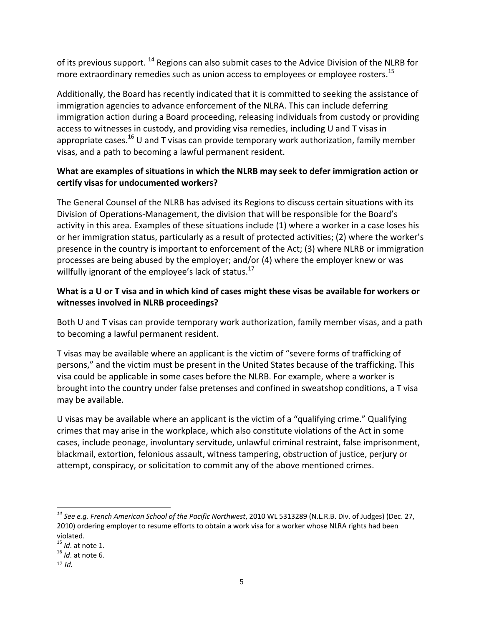of its previous support. <sup>14</sup> Regions can also submit cases to the Advice Division of the NLRB for more extraordinary remedies such as union access to employees or employee rosters.<sup>15</sup>

Additionally, the Board has recently indicated that it is committed to seeking the assistance of immigration agencies to advance enforcement of the NLRA. This can include deferring immigration action during a Board proceeding, releasing individuals from custody or providing access to witnesses in custody, and providing visa remedies, including U and T visas in appropriate cases.<sup>16</sup> U and T visas can provide temporary work authorization, family member visas, and a path to becoming a lawful permanent resident.

### **What are examples of situations in which the NLRB may seek to defer immigration action or certify visas for undocumented workers?**

The General Counsel of the NLRB has advised its Regions to discuss certain situations with its Division of Operations‐Management, the division that will be responsible for the Board's activity in this area. Examples of these situations include (1) where a worker in a case loses his or her immigration status, particularly as a result of protected activities; (2) where the worker's presence in the country is important to enforcement of the Act; (3) where NLRB or immigration processes are being abused by the employer; and/or (4) where the employer knew or was willfully ignorant of the employee's lack of status.<sup>17</sup>

### What is a U or T visa and in which kind of cases might these visas be available for workers or **witnesses involved in NLRB proceedings?**

Both U and T visas can provide temporary work authorization, family member visas, and a path to becoming a lawful permanent resident.

T visas may be available where an applicant is the victim of "severe forms of trafficking of persons," and the victim must be present in the United States because of the trafficking. This visa could be applicable in some cases before the NLRB. For example, where a worker is brought into the country under false pretenses and confined in sweatshop conditions, a T visa may be available.

U visas may be available where an applicant is the victim of a "qualifying crime." Qualifying crimes that may arise in the workplace, which also constitute violations of the Act in some cases, include peonage, involuntary servitude, unlawful criminal restraint, false imprisonment, blackmail, extortion, felonious assault, witness tampering, obstruction of justice, perjury or attempt, conspiracy, or solicitation to commit any of the above mentioned crimes.

 $\overline{1}$ *<sup>14</sup> See e.g. French American School of the Pacific Northwest*, 2010 WL 5313289 (N.L.R.B. Div. of Judges) (Dec. 27, 2010) ordering employer to resume efforts to obtain a work visa for a worker whose NLRA rights had been violated.

<sup>15</sup> *Id*. at note 1.

<sup>16</sup> *Id*. at note 6.

<sup>17</sup> *Id.*